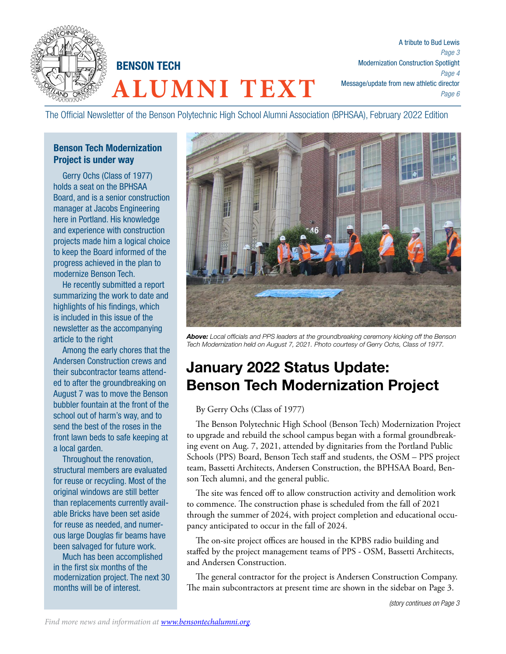

**ALUMNI TEXT** BENSON TECH

A tribute to Bud Lewis *Page 3* Modernization Construction Spotlight *Page 4* Message/update from new athletic director *Page 6*

The Official Newsletter of the Benson Polytechnic High School Alumni Association (BPHSAA), February 2022 Edition

### Benson Tech Modernization Project is under way

Gerry Ochs (Class of 1977) holds a seat on the BPHSAA Board, and is a senior construction manager at Jacobs Engineering here in Portland. His knowledge and experience with construction projects made him a logical choice to keep the Board informed of the progress achieved in the plan to modernize Benson Tech.

He recently submitted a report summarizing the work to date and highlights of his findings, which is included in this issue of the newsletter as the accompanying article to the right

Among the early chores that the Andersen Construction crews and their subcontractor teams attended to after the groundbreaking on August 7 was to move the Benson bubbler fountain at the front of the school out of harm's way, and to send the best of the roses in the front lawn beds to safe keeping at a local garden.

Throughout the renovation, structural members are evaluated for reuse or recycling. Most of the original windows are still better than replacements currently available Bricks have been set aside for reuse as needed, and numerous large Douglas fir beams have been salvaged for future work.

Much has been accomplished in the first six months of the modernization project. The next 30 months will be of interest.



*Above: Local officials and PPS leaders at the groundbreaking ceremony kicking off the Benson Tech Modernization held on August 7, 2021. Photo courtesy of Gerry Ochs, Class of 1977.*

# January 2022 Status Update: Benson Tech Modernization Project

### By Gerry Ochs (Class of 1977)

The Benson Polytechnic High School (Benson Tech) Modernization Project to upgrade and rebuild the school campus began with a formal groundbreaking event on Aug. 7, 2021, attended by dignitaries from the Portland Public Schools (PPS) Board, Benson Tech staff and students, the OSM – PPS project team, Bassetti Architects, Andersen Construction, the BPHSAA Board, Benson Tech alumni, and the general public.

The site was fenced off to allow construction activity and demolition work to commence. The construction phase is scheduled from the fall of 2021 through the summer of 2024, with project completion and educational occupancy anticipated to occur in the fall of 2024.

The on-site project offices are housed in the KPBS radio building and staffed by the project management teams of PPS - OSM, Bassetti Architects, and Andersen Construction.

The general contractor for the project is Andersen Construction Company. The main subcontractors at present time are shown in the sidebar on Page 3.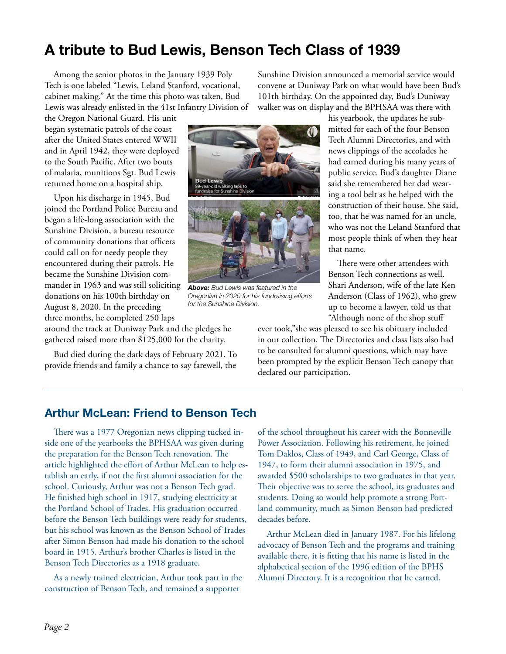# A tribute to Bud Lewis, Benson Tech Class of 1939

Among the senior photos in the January 1939 Poly Tech is one labeled "Lewis, Leland Stanford, vocational, cabinet making." At the time this photo was taken, Bud Lewis was already enlisted in the 41st Infantry Division of

the Oregon National Guard. His unit began systematic patrols of the coast after the United States entered WWII and in April 1942, they were deployed to the South Pacific. After two bouts of malaria, munitions Sgt. Bud Lewis returned home on a hospital ship.

Upon his discharge in 1945, Bud joined the Portland Police Bureau and began a life-long association with the Sunshine Division, a bureau resource of community donations that officers could call on for needy people they encountered during their patrols. He became the Sunshine Division commander in 1963 and was still soliciting donations on his 100th birthday on August 8, 2020. In the preceding three months, he completed 250 laps

around the track at Duniway Park and the pledges he gathered raised more than \$125,000 for the charity.

Bud died during the dark days of February 2021. To provide friends and family a chance to say farewell, the



*Above: Bud Lewis was featured in the Oregonian in 2020 for his fundraising efforts for the Sunshine Division.* 

Sunshine Division announced a memorial service would convene at Duniway Park on what would have been Bud's 101th birthday. On the appointed day, Bud's Duniway walker was on display and the BPHSAA was there with

> his yearbook, the updates he submitted for each of the four Benson Tech Alumni Directories, and with news clippings of the accolades he had earned during his many years of public service. Bud's daughter Diane said she remembered her dad wearing a tool belt as he helped with the construction of their house. She said, too, that he was named for an uncle, who was not the Leland Stanford that most people think of when they hear that name.

There were other attendees with Benson Tech connections as well. Shari Anderson, wife of the late Ken Anderson (Class of 1962), who grew up to become a lawyer, told us that "Although none of the shop stuff

ever took,"she was pleased to see his obituary included in our collection. The Directories and class lists also had to be consulted for alumni questions, which may have been prompted by the explicit Benson Tech canopy that declared our participation.

## Arthur McLean: Friend to Benson Tech

There was a 1977 Oregonian news clipping tucked inside one of the yearbooks the BPHSAA was given during the preparation for the Benson Tech renovation. The article highlighted the effort of Arthur McLean to help establish an early, if not the first alumni association for the school. Curiously, Arthur was not a Benson Tech grad. He finished high school in 1917, studying electricity at the Portland School of Trades. His graduation occurred before the Benson Tech buildings were ready for students, but his school was known as the Benson School of Trades after Simon Benson had made his donation to the school board in 1915. Arthur's brother Charles is listed in the Benson Tech Directories as a 1918 graduate.

As a newly trained electrician, Arthur took part in the construction of Benson Tech, and remained a supporter

of the school throughout his career with the Bonneville Power Association. Following his retirement, he joined Tom Daklos, Class of 1949, and Carl George, Class of 1947, to form their alumni association in 1975, and awarded \$500 scholarships to two graduates in that year. Their objective was to serve the school, its graduates and students. Doing so would help promote a strong Portland community, much as Simon Benson had predicted decades before.

Arthur McLean died in January 1987. For his lifelong advocacy of Benson Tech and the programs and training available there, it is fitting that his name is listed in the alphabetical section of the 1996 edition of the BPHS Alumni Directory. It is a recognition that he earned.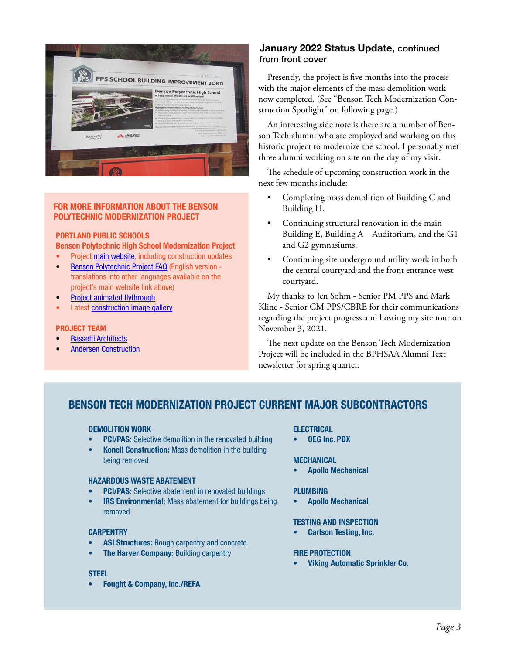

#### FOR MORE INFORMATION ABOUT THE BENSON POLYTECHNIC MODERNIZATION PROJECT

### PORTLAND PUBLIC SCHOOLS Benson Polytechnic High School Modernization Project

- Project [main website](https://www.pps.net/Page/1838), including construction updates
- [Benson Polytechnic Project FAQ](https://www.pps.net/cms/lib/OR01913224/Centricity/Domain/62/Benson_FAQ_FINAL%2010-11-21.pdf) (English version translations into other languages available on the project's main website link above)
- **[Project animated flythrough](https://www.youtube.com/watch?v=8u12RUEUBXY&t=2s)**
- Latest [construction image gallery](https://www.flickr.com/photos/41430185@N08/sets/72177720295967746/)

#### PROJECT TEAM

- **[Bassetti Architects](http://www.bassettiarch.com/)**
- **[Andersen Construction](https://www.andersen-const.com/)**

### January 2022 Status Update, continued from front cover

Presently, the project is five months into the process with the major elements of the mass demolition work now completed. (See "Benson Tech Modernization Construction Spotlight" on following page.)

An interesting side note is there are a number of Benson Tech alumni who are employed and working on this historic project to modernize the school. I personally met three alumni working on site on the day of my visit.

The schedule of upcoming construction work in the next few months include:

- Completing mass demolition of Building C and Building H.
- Continuing structural renovation in the main Building E, Building A – Auditorium, and the G1 and G2 gymnasiums.
- Continuing site underground utility work in both the central courtyard and the front entrance west courtyard.

My thanks to Jen Sohm - Senior PM PPS and Mark Kline - Senior CM PPS/CBRE for their communications regarding the project progress and hosting my site tour on November 3, 2021.

The next update on the Benson Tech Modernization Project will be included in the BPHSAA Alumni Text newsletter for spring quarter.

## BENSON TECH MODERNIZATION PROJECT CURRENT MAJOR SUBCONTRACTORS

#### DEMOLITION WORK

- **PCI/PAS:** Selective demolition in the renovated building
- Konell Construction: Mass demolition in the building being removed

#### HAZARDOUS WASTE ABATEMENT

- **PCI/PAS:** Selective abatement in renovated buildings
- **IRS Environmental:** Mass abatement for buildings being removed

#### **CARPENTRY**

- ASI Structures: Rough carpentry and concrete.
- The Harver Company: Building carpentry

#### **STEEL**

• Fought & Company, Inc./REFA

#### **ELECTRICAL**

• OEG Inc. PDX

#### **MECHANICAL**

• Apollo Mechanical

#### PLUMBING

• Apollo Mechanical

#### TESTING AND INSPECTION

• Carlson Testing, Inc.

#### FIRE PROTECTION

• Viking Automatic Sprinkler Co.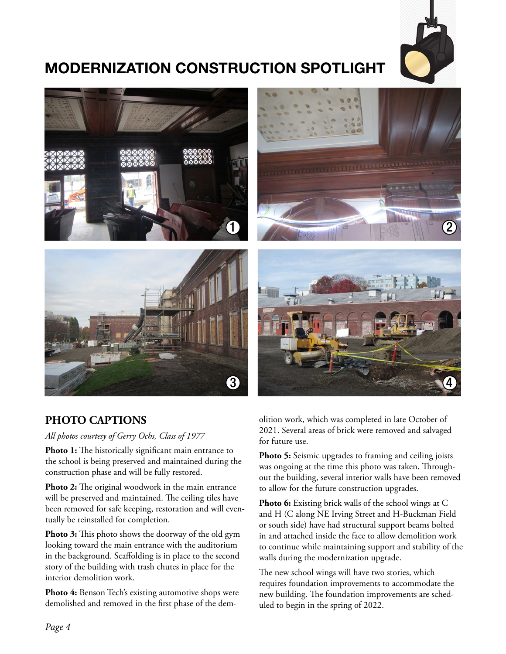

# MODERNIZATION CONSTRUCTION SPOTLIGHT







# **PHOTO CAPTIONS**

*All photos courtesy of Gerry Ochs, Class of 1977*

Photo 1: The historically significant main entrance to the school is being preserved and maintained during the construction phase and will be fully restored.

**Photo 2:** The original woodwork in the main entrance will be preserved and maintained. The ceiling tiles have been removed for safe keeping, restoration and will eventually be reinstalled for completion.

**Photo 3:** This photo shows the doorway of the old gym looking toward the main entrance with the auditorium in the background. Scaffolding is in place to the second story of the building with trash chutes in place for the interior demolition work.

**Photo 4:** Benson Tech's existing automotive shops were demolished and removed in the first phase of the demolition work, which was completed in late October of 2021. Several areas of brick were removed and salvaged for future use.

**Photo 5:** Seismic upgrades to framing and ceiling joists was ongoing at the time this photo was taken. Throughout the building, several interior walls have been removed to allow for the future construction upgrades.

Photo 6: Existing brick walls of the school wings at C and H (C along NE Irving Street and H-Buckman Field or south side) have had structural support beams bolted in and attached inside the face to allow demolition work to continue while maintaining support and stability of the walls during the modernization upgrade.

The new school wings will have two stories, which requires foundation improvements to accommodate the new building. The foundation improvements are scheduled to begin in the spring of 2022.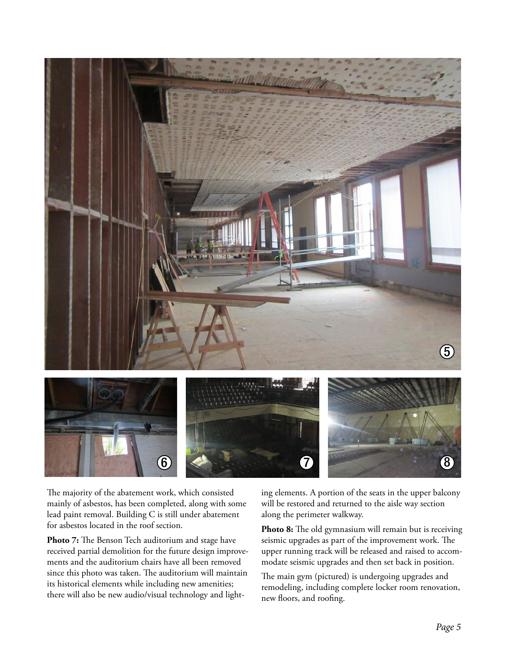

The majority of the abatement work, which consisted mainly of asbestos, has been completed, along with some lead paint removal. Building C is still under abatement for asbestos located in the roof section.

**Photo 7:** The Benson Tech auditorium and stage have received partial demolition for the future design improvements and the auditorium chairs have all been removed since this photo was taken. The auditorium will maintain its historical elements while including new amenities; there will also be new audio/visual technology and lighting elements. A portion of the seats in the upper balcony will be restored and returned to the aisle way section along the perimeter walkway.

Photo 8: The old gymnasium will remain but is receiving seismic upgrades as part of the improvement work. The upper running track will be released and raised to accommodate seismic upgrades and then set back in position.

The main gym (pictured) is undergoing upgrades and remodeling, including complete locker room renovation, new floors, and roofing.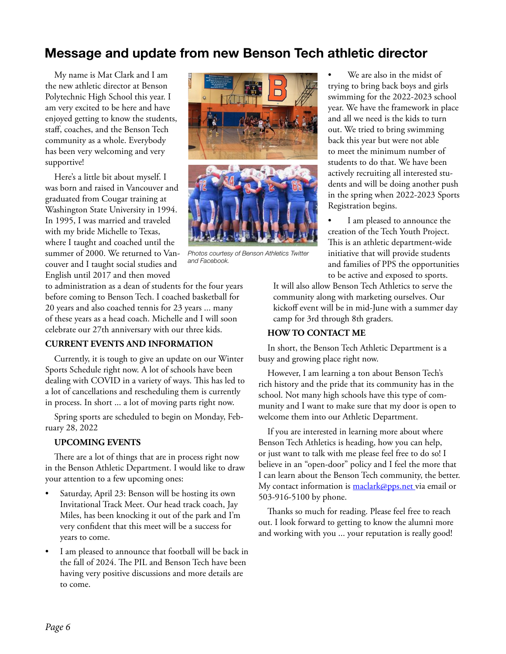# Message and update from new Benson Tech athletic director

My name is Mat Clark and I am the new athletic director at Benson Polytechnic High School this year. I am very excited to be here and have enjoyed getting to know the students, staff, coaches, and the Benson Tech community as a whole. Everybody has been very welcoming and very supportive!

Here's a little bit about myself. I was born and raised in Vancouver and graduated from Cougar training at Washington State University in 1994. In 1995, I was married and traveled with my bride Michelle to Texas, where I taught and coached until the summer of 2000. We returned to Vancouver and I taught social studies and English until 2017 and then moved



*Photos courtesy of Benson Athletics Twitter and Facebook.*

to administration as a dean of students for the four years before coming to Benson Tech. I coached basketball for 20 years and also coached tennis for 23 years ... many of these years as a head coach. Michelle and I will soon celebrate our 27th anniversary with our three kids.

#### **CURRENT EVENTS AND INFORMATION**

Currently, it is tough to give an update on our Winter Sports Schedule right now. A lot of schools have been dealing with COVID in a variety of ways. This has led to a lot of cancellations and rescheduling them is currently in process. In short ... a lot of moving parts right now.

Spring sports are scheduled to begin on Monday, February 28, 2022

#### **UPCOMING EVENTS**

There are a lot of things that are in process right now in the Benson Athletic Department. I would like to draw your attention to a few upcoming ones:

- Saturday, April 23: Benson will be hosting its own Invitational Track Meet. Our head track coach, Jay Miles, has been knocking it out of the park and I'm very confident that this meet will be a success for years to come.
- I am pleased to announce that football will be back in the fall of 2024. The PIL and Benson Tech have been having very positive discussions and more details are to come.

We are also in the midst of trying to bring back boys and girls swimming for the 2022-2023 school year. We have the framework in place and all we need is the kids to turn out. We tried to bring swimming back this year but were not able to meet the minimum number of students to do that. We have been actively recruiting all interested students and will be doing another push in the spring when 2022-2023 Sports Registration begins.

I am pleased to announce the creation of the Tech Youth Project. This is an athletic department-wide initiative that will provide students and families of PPS the opportunities to be active and exposed to sports.

It will also allow Benson Tech Athletics to serve the community along with marketing ourselves. Our kickoff event will be in mid-June with a summer day camp for 3rd through 8th graders.

#### **HOW TO CONTACT ME**

In short, the Benson Tech Athletic Department is a busy and growing place right now.

However, I am learning a ton about Benson Tech's rich history and the pride that its community has in the school. Not many high schools have this type of community and I want to make sure that my door is open to welcome them into our Athletic Department.

If you are interested in learning more about where Benson Tech Athletics is heading, how you can help, or just want to talk with me please feel free to do so! I believe in an "open-door" policy and I feel the more that I can learn about the Benson Tech community, the better. My contact information is [maclark@pps.net v](mailto:maclark%40pps.net%20?subject=)ia email or 503-916-5100 by phone.

Thanks so much for reading. Please feel free to reach out. I look forward to getting to know the alumni more and working with you ... your reputation is really good!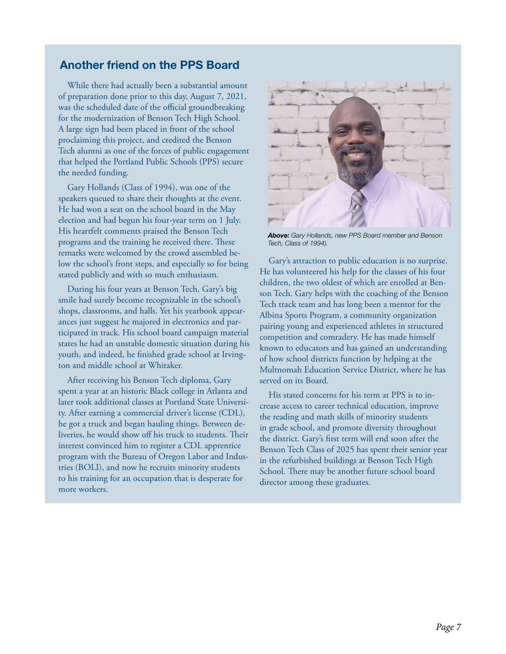### Another friend on the PPS Board

While there had actually been a substantial amount of preparation done prior to this day, August 7, 2021, was the scheduled date of the official groundbreaking for the modernization of Benson Tech High School. A large sign had been placed in front of the school proclaiming this project, and credited the Benson Tech alumni as one of the forces of public engagement that helped the Portland Public Schools (PPS) secure the needed funding.

Gary Hollands (Class of 1994), was one of the speakers queued to share their thoughts at the event. He had won a seat on the school board in the May election and had begun his four-year term on 1 July. His heartfelt comments praised the Benson Tech programs and the training he received there. These remarks were welcomed by the crowd assembled below the school's front steps, and especially so for being stated publicly and with so much enthusiasm.

During his four years at Benson Tech, Gary's big smile had surely become recognizable in the school's shops, classrooms, and halls. Yet his yearbook appearances just suggest he majored in electronics and participated in track. His school board campaign material states he had an unstable domestic situation during his youth, and indeed, he finished grade school at Irvington and middle school at Whitaker.

After receiving his Benson Tech diploma, Gary spent a year at an historic Black college in Atlanta and later took additional classes at Portland State University. After earning a commercial driver's license (CDL), he got a truck and began hauling things. Between deliveries, he would show off his truck to students. Their interest convinced him to register a CDL apprentice program with the Bureau of Oregon Labor and Industries (BOLI), and now he recruits minority students to his training for an occupation that is desperate for more workers.



*Above: Gary Hollands, new PPS Board member and Benson Tech, Class of 1994).*

Gary's attraction to public education is no surprise. He has volunteered his help for the classes of his four children, the two oldest of which are enrolled at Benson Tech. Gary helps with the coaching of the Benson Tech track team and has long been a mentor for the Albina Sports Program, a community organization pairing young and experienced athletes in structured competition and comradery. He has made himself known to educators and has gained an understanding of how school districts function by helping at the Multnomah Education Service District, where he has served on its Board.

His stated concerns for his term at PPS is to increase access to career technical education, improve the reading and math skills of minority students in grade school, and promote diversity throughout the district. Gary's first term will end soon after the Benson Tech Class of 2025 has spent their senior year in the refurbished buildings at Benson Tech High School. There may be another future school board director among these graduates.